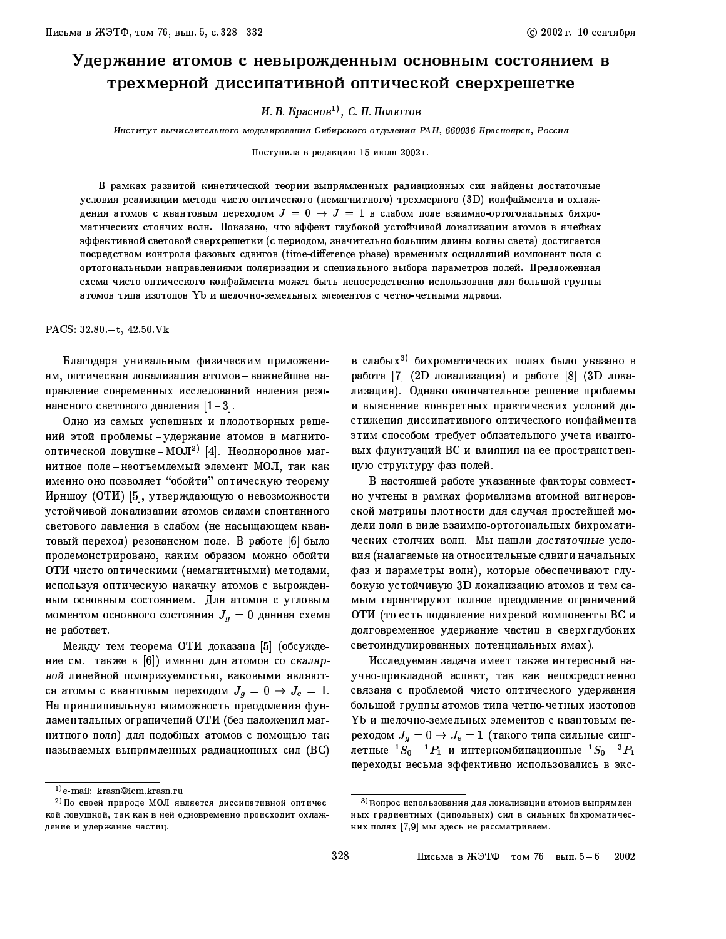## Удержание атомов с невырожденным основным состоянием в трехмерной диссипативной оптической сверхрешетке

И. В. Краснов<sup>1)</sup>, С. П. Полютов

.<br>Институт вычислительного моделирования Сибирского отделения РАН, 660036 Красноярск, Россия

Поступила в редакцию 15 июля 2002 г.

В рамках развитой кинетической теории выпрямленных радиационных сил найдены достаточные условия реализации метода чисто оптического (немагнитного) трехмерного (3D) конфаймента и охлаждения атомов с квантовым переходом  $J = 0 \rightarrow J = 1$  в слабом поле взаимно-ортогональных бихроматических стоячих волн. Показано, что эффект глубокой устойчивой локализации атомов в ячейках эффективной световой сверхрешетки (с периодом, значительно большим длины волны света) достигается посредством контроля фазовых сдвигов (time-difference phase) временных осцилляций компонент поля с ортогональными направлениями поляризации и специального выбора параметров полей. Предложенная схема чисто оптического конфаймента может быть непосредственно использована для большой группы атомов типа изотопов Yb и щелочно-земельных элементов с четно-четными ядрами.

PACS:  $32.80 - t$ ,  $42.50$  Vk

Благодаря уникальным физическим приложениям, оптическая локализация атомов-важнейшее направление современных исследований явления резонансного светового давления  $[1-3]$ .

Одно из самых успешных и плодотворных решений этой проблемы - удержание атомов в магнитооптической ловушке-МОЛ<sup>2)</sup> [4]. Неоднородное магнитное поле-неотъемлемый элемент МОЛ, так как именно оно позволяет "обойти" оптическую теорему Ирншоу (ОТИ) [5], утверждающую о невозможности устойчивой локализации атомов силами спонтанного светового давления в слабом (не насыщающем квантовый переход) резонансном поле. В работе [6] было продемонстрировано, каким образом можно обойти ОТИ чисто оптическими (немагнитными) методами, используя оптическую накачку атомов с вырожденным основным состоянием. Для атомов с угловым моментом основного состояния  $J_g\,=\,0$  данная схема не работает.

Между тем теорема ОТИ доказана [5] (обсуждение см. также в [6]) именно для атомов со скалярной линейной поляризуемостью, каковыми являются атомы с квантовым переходом  $J_g = 0 \rightarrow J_e = 1$ . На принципиальную возможность преодоления фундаментальных ограничений ОТИ (без наложения магнитного поля) для подобных атомов с помощью так называемых выпрямленных радиационных сил  $(BC)$  в слабых<sup>3)</sup> бихроматических полях было указано в работе [7] (2D локализация) и работе [8] (3D локализация). Однако окончательное решение проблемы и выяснение конкретных практических условий достижения диссипативного оптического конфаймента этим способом требует обязательного учета квантовых флуктуаций ВС и влияния на ее пространственную структуру фаз полей.

В настоящей работе указанные факторы совместно учтены в рамках формализма атомной вигнеровской матрицы плотности для случая простейшей модели поля в виде взаимно-ортогональных бихроматических стоячих волн. Мы нашли достаточные условия (налагаемые на относительные сдвиги начальных фаз и параметры волн), которые обеспечивают глубокую устойчивую 3D локализацию атомов и тем самым гарантируют полное преодоление ограничений ОТИ (то есть подавление вихревой компоненты ВС и долговременное удержание частиц в сверхглубоких светоиндуцированных потенциальных ямах).

Исследуемая задача имеет также интересный научно-прикладной аспект, так как непосредственно связана с проблемой чисто оптического удержания большой группы атомов типа четно-четных изотопов Yb и щелочно-земельных элементов с квантовым переходом  $J_g = 0 \rightarrow J_e = 1$  (такого типа сильные синглетные  ${}^{1}S_{0} - {}^{1}P_{1}$  и интеркомбинационные  ${}^{1}S_{0} - {}^{3}P_{1}$ переходы весьма эффективно использовались в экс-

 $^{1)}$ e-mail: krasn@icm.krasn.ru

<sup>&</sup>lt;sup>2)</sup> По своей природе МОЛ является диссипативной оптической ловушкой, так как в ней одновременно происходит охлаждение и удержание частиц.

<sup>3)</sup> Вопрос использования для локализации атомов выпрямленных градиентных (дипольных) сил в сильных бихроматических полях [7,9] мы здесь не рассматриваем.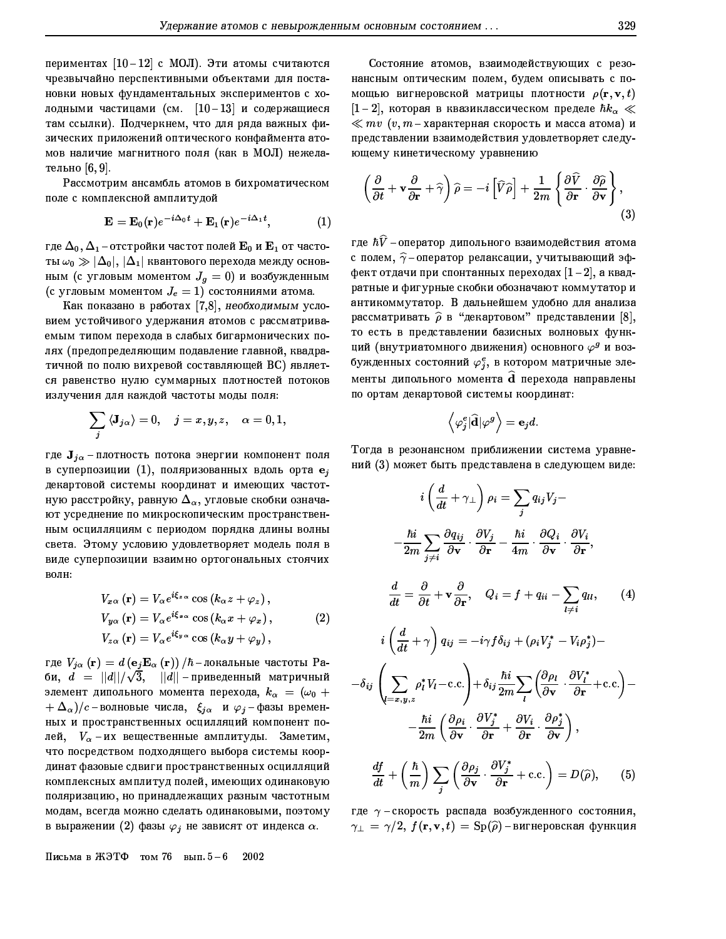329

периментах  $[10-12]$  с МОЛ). Эти атомы считаются чрезвычайно перспективными объектами для постановки новых фундаментальных экспериментов с холодными частицами (см.  $[10-13]$  и содержащиеся там ссылки). Подчеркнем, что для ряда важных физических приложений оптического конфаймента атомов наличие магнитного поля (как в МОЛ) нежелательно [6,9].

Рассмотрим ансамбль атомов в бихроматическом поле с комплексной амплитудой

$$
\mathbf{E} = \mathbf{E}_0(\mathbf{r})e^{-i\Delta_0 t} + \mathbf{E}_1(\mathbf{r})e^{-i\Delta_1 t}, \qquad (1)
$$

где  $\Delta_0$ ,  $\Delta_1$  – отстройки частот полей  $\mathbf{E}_0$  и  $\mathbf{E}_1$  от частоты  $\omega_0 \gg |\Delta_0|, |\Delta_1|$  квантового перехода между основным (с угловым моментом  $J_g=0$ ) и возбужденным (с угловым моментом  $J_e = 1$ ) состояниями атома.

Как показано в работах [7,8], необходимым условием устойчивого удержания атомов с рассматриваемым типом перехода в слабых бигармонических полях (предопределяющим подавление главной, квадратичной по полю вихревой составляющей ВС) является равенство нулю суммарных плотностей потоков излучения для каждой частоты моды поля:

$$
\sum_j{\langle} \mathbf{J}_{j\alpha}{\rangle}=0, \quad j=x,y,z, \quad \alpha=0,1,
$$

где  $J_{j\alpha}$ -плотность потока энергии компонент поля в суперпозиции  $(1)$ , поляризованных вдоль орта  $e_i$ декартовой системы координат и имеющих частотную расстройку, равную  $\Delta_\alpha$ , угловые скобки означают усреднение по микроскопическим пространственным осцилляциям с периодом порядка длины волны света. Этому условию удовлетворяет модель поля в виде суперпозиции взаимно ортогональных стоячих волн:

$$
V_{x\alpha}(\mathbf{r}) = V_{\alpha} e^{i\xi_{z\alpha}} \cos (k_{\alpha} z + \varphi_z),
$$
  
\n
$$
V_{y\alpha}(\mathbf{r}) = V_{\alpha} e^{i\xi_{x\alpha}} \cos (k_{\alpha} x + \varphi_x),
$$
  
\n
$$
V_{z\alpha}(\mathbf{r}) = V_{\alpha} e^{i\xi_{y\alpha}} \cos (k_{\alpha} y + \varphi_y),
$$
\n(2)

где  $V_{j\alpha}({\bf r})=d\left({\bf e}_j{\bf E}_{\alpha}({\bf r})\right)/\hbar$ -локальные частоты Раби,  $d = ||d||/\sqrt{3}$ ,  $||d||$ -приведенный матричный элемент дипольного момента перехода,  $k_{\alpha} = (\omega_0 +$  $\lambda + \Delta_\alpha)/c$ -волновые числа,  $\, \xi_{j\alpha} \,$  и  $\varphi_j$ -фазы временных и пространственных осцилляций компонент полей,  $V_{\alpha}$  -их вещественные амплитуды. Заметим, что посредством подходящего выбора системы координат фазовые сдвиги пространственных осцилляций комплексных амплитуд полей, имеющих одинаковую поляризацию, но принадлежащих разным частотным модам, всегда можно сделать одинаковыми, поэтому в выражении (2) фазы  $\varphi_j$  не зависят от индекса  $\alpha$ .

Состояние атомов, взаимодействующих с резонансным оптическим полем, будем описывать с помощью вигнеровской матрицы плотности  $\rho({\bf r},{\bf v},t)$  $[1-2]$ , которая в квазиклассическом пределе  $\hbar k_\alpha \ll 1$  $\ll mv$   $(v, m$ -характерная скорость и масса атома) и представлении взаимодействия удовлетворяет следующему кинетическому уравнению

$$
\left(\frac{\partial}{\partial t} + \mathbf{v}\frac{\partial}{\partial \mathbf{r}} + \widehat{\gamma}\right)\widehat{\rho} = -i\left[\widehat{V}\widehat{\rho}\right] + \frac{1}{2m}\left\{\frac{\partial\widehat{V}}{\partial \mathbf{r}}\cdot\frac{\partial\widehat{\rho}}{\partial \mathbf{v}}\right\},\tag{3}
$$

где  $\hbar \widehat{V}$  -оператор дипольного взаимодействия атома с полем,  $\widehat{\gamma}$ -оператор релаксации, учитывающий эффект отдачи при спонтанных переходах  $[1-2]$ , а квадратные и фигурные скобки обозначают коммутатор и антикоммутатор. В дальнейшем удобно для анализа рассматривать  $\widehat{\rho}$  в "декартовом" представлении [8], то есть в представлении базисных волновых функций (внутриатомного движения) основного  $\varphi^g$  и возбужденных состояний  $\varphi_i^e$ , в котором матричные элементы дипольного момента **d** перехода направлены по ортам декартовой системы координат:

$$
\left\langle \varphi _{j}^{e}|\widehat{\mathbf{d}}|\varphi ^{g}\right\rangle =\mathbf{e}_{j}d.
$$

Тогда в резонансном приближении система уравнений (3) может быть представлена в следующем виде:

$$
i\left(\frac{d}{dt} + \gamma_{\perp}\right)\rho_{i} = \sum_{j} q_{ij}V_{j} -
$$
\n
$$
-\frac{\hbar i}{2m} \sum_{j \neq i} \frac{\partial q_{ij}}{\partial \mathbf{v}} \cdot \frac{\partial V_{j}}{\partial \mathbf{r}} - \frac{\hbar i}{4m} \cdot \frac{\partial Q_{i}}{\partial \mathbf{v}} \cdot \frac{\partial V_{i}}{\partial \mathbf{r}},
$$
\n
$$
\frac{d}{dt} = \frac{\partial}{\partial t} + \mathbf{v} \frac{\partial}{\partial \mathbf{r}}, \quad Q_{i} = f + q_{ii} - \sum_{l \neq i} q_{ll}, \qquad (4)
$$
\n
$$
i\left(\frac{d}{dt} + \gamma\right) q_{ij} = -i\gamma f \delta_{ij} + (\rho_{i} V_{j}^{*} - V_{i} \rho_{j}^{*}) -
$$
\n
$$
-\delta_{ij} \left(\sum_{l=x,y,z} \rho_{l}^{*} V_{l} - \text{c.c.}\right) + \delta_{ij} \frac{\hbar i}{2m} \sum_{l} \left(\frac{\partial \rho_{l}}{\partial \mathbf{v}} \cdot \frac{\partial V_{l}^{*}}{\partial \mathbf{r}} + \text{c.c.}\right) -
$$
\n
$$
-\frac{\hbar i}{2m} \left(\frac{\partial \rho_{i}}{\partial \mathbf{v}} \cdot \frac{\partial V_{j}^{*}}{\partial \mathbf{r}} + \frac{\partial V_{i}}{\partial \mathbf{r}} \cdot \frac{\partial \rho_{j}^{*}}{\partial \mathbf{v}}\right),
$$
\n
$$
\frac{df}{dt} + \left(\frac{\hbar}{m}\right) \sum_{j} \left(\frac{\partial \rho_{j}}{\partial \mathbf{v}} \cdot \frac{\partial V_{j}^{*}}{\partial \mathbf{r}} + \text{c.c.}\right) = D(\hat{\rho}), \qquad (5)
$$

где  $\gamma$  - скорость распада возбужденного состояния,  $\gamma_{\perp} = \gamma/2$ ,  $f(\mathbf{r}, \mathbf{v}, t) = \text{Sp}(\hat{\rho})$ -вигнеровская функция

Письма в ЖЭТФ том 76 вып.  $5-6$ 2002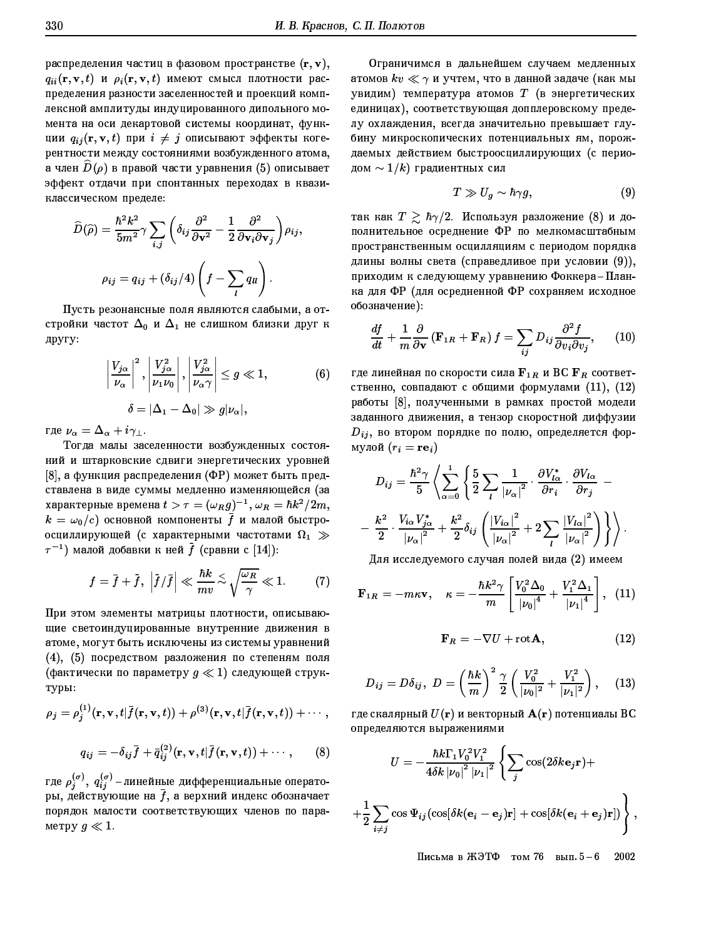распределения частиц в фазовом пространстве  $(\mathbf{r}, \mathbf{v})$ ,  $q_{ii}(\mathbf{r}, \mathbf{v}, t)$  и  $\rho_i(\mathbf{r}, \mathbf{v}, t)$  имеют смысл плотности распределения разности заселенностей и проекций комплексной амплитуды индуцированного дипольного момента на оси декартовой системы координат, функции  $q_{ij}(\mathbf{r}, \mathbf{v}, t)$  при  $i \neq j$  описывают эффекты когерентности между состояниями возбужденного атома, а член  $D(\rho)$  в правой части уравнения (5) описывает эффект отдачи при спонтанных переходах в квазиклассическом пределе:

$$
\widehat{D}(\widehat{\rho}) = \frac{\hbar^2 k^2}{5m^2} \gamma \sum_{i,j} \left( \delta_{ij} \frac{\partial^2}{\partial \mathbf{v}^2} - \frac{1}{2} \frac{\partial^2}{\partial \mathbf{v}_i \partial \mathbf{v}_j} \right) \rho_{ij},
$$

$$
\rho_{ij} = q_{ij} + (\delta_{ij}/4) \left( f - \sum_l q_{ll} \right).
$$

Пусть резонансные поля являются слабыми, а отстройки частот  $\Delta_0$  и  $\Delta_1$  не слишком близки друг к другу:

$$
\left|\frac{V_{j\alpha}}{\nu_{\alpha}}\right|^2, \left|\frac{V_{j\alpha}^2}{\nu_1 \nu_0}\right|, \left|\frac{V_{j\alpha}^2}{\nu_{\alpha} \gamma}\right| \le g \ll 1,
$$
\n
$$
\delta = |\Delta_1 - \Delta_0| \gg g|\nu_{\alpha}|,
$$
\n(6)

где  $\nu_{\alpha} = \Delta_{\alpha} + i \gamma_{\perp}$ .

Тогда малы заселенности возбужденных состояний и штарковские сдвиги энергетических уровней [8], а функция распределения (ФР) может быть представлена в виде суммы медленно изменяющейся (за характерные времена  $t > \tau = (\omega_R g)^{-1}, \omega_R = \hbar k^2/2m,$  $k\,=\,\omega_0/c)$  основной компоненты  $\,\bar{f}\,$  и малой быстроосциллирующей (с характерными частотами  $\Omega_1 \gg$  $\tau^{-1}$ ) малой добавки к ней  $\tilde{f}$  (сравни с [14]):

$$
f = \bar{f} + \tilde{f}, \ \left| \tilde{f}/\bar{f} \right| \ll \frac{\hbar k}{mv} \approx \sqrt{\frac{\omega_R}{\gamma}} \ll 1. \tag{7}
$$

При этом элементы матрицы плотности, описывающие светоиндуцированные внутренние движения в атоме, могут быть исключены из системы уравнений (4), (5) посредством разложения по степеням поля (фактически по параметру  $g \ll 1$ ) следующей структуры:

$$
\rho_j = \rho_j^{(1)}(\mathbf{r}, \mathbf{v}, t | \overline{f}(\mathbf{r}, \mathbf{v}, t)) + \rho^{(3)}(\mathbf{r}, \mathbf{v}, t | \overline{f}(\mathbf{r}, \mathbf{v}, t)) + \cdots ,
$$
  

$$
q_{ij} = -\delta_{ij} \overline{f} + \overline{q}_{ij}^{(2)}(\mathbf{r}, \mathbf{v}, t | \overline{f}(\mathbf{r}, \mathbf{v}, t)) + \cdots , \qquad (8)
$$

где  $\rho_j^{(\sigma)}$ ,  $q_{ij}^{(\sigma)}$  – линейные дифференциальные операторы, действующие на  $\bar{f}$ , а верхний индекс обозначает порядок малости соответствующих членов по параметру  $g \ll 1$ .

Ограничимся в дальнейшем случаем медленных атомов  $kv \ll \gamma$  и учтем, что в данной задаче (как мы увидим) температура атомов  $T$  (в энергетических единицах), соответствующая допплеровскому пределу охлаждения, всегда значительно превышает глубину микроскопических потенциальных ям, порождаемых действием быстроосциллирующих (с периодом  $\sim 1/k$ ) градиентных сил

$$
T \gg U_g \sim \hbar \gamma g, \tag{9}
$$

так как  $T \geq \hbar \gamma/2$ . Используя разложение (8) и дополнительное осреднение ФР по мелкомасштабным пространственным осцилляциям с периодом порядка длины волны света (справедливое при условии (9)), приходим к следующему уравнению Фоккера-Планка для ФР (для осредненной ФР сохраняем исходное обозначение):

$$
\frac{df}{dt} + \frac{1}{m} \frac{\partial}{\partial \mathbf{v}} \left( \mathbf{F}_{1R} + \mathbf{F}_{R} \right) f = \sum_{ij} D_{ij} \frac{\partial^{2} f}{\partial v_{i} \partial v_{j}}, \qquad (10)
$$

где линейная по скорости сила  $F_{1R}$  и ВС  $F_R$  соответственно, совпадают с общими формулами (11), (12) работы [8], полученными в рамках простой модели заданного движения, а тензор скоростной диффузии  $D_{ij}$ , во втором порядке по полю, определяется формулой  $(r_i = r \mathbf{e}_i)$ 

$$
D_{ij} = \frac{\hbar^2 \gamma}{5} \left\langle \sum_{\alpha=0}^{1} \left\{ \frac{5}{2} \sum_{l} \frac{1}{|\nu_{\alpha}|^2} \cdot \frac{\partial V_{l\alpha}^*}{\partial r_i} \cdot \frac{\partial V_{l\alpha}}{\partial r_j} - \right. \right. \left. - \frac{k^2}{2} \cdot \frac{V_{i\alpha} V_{j\alpha}^*}{|\nu_{\alpha}|^2} + \frac{k^2}{2} \delta_{ij} \left( \frac{|V_{i\alpha}|^2}{|\nu_{\alpha}|^2} + 2 \sum_{l} \frac{|V_{l\alpha}|^2}{|\nu_{\alpha}|^2} \right) \right\} \right\rangle.
$$

Для исследуемого случая полей вида (2) имеем

$$
\mathbf{F}_{1R} = -m\kappa \mathbf{v}, \quad \kappa = -\frac{\hbar k^2 \gamma}{m} \left[ \frac{V_0^2 \Delta_0}{|\nu_0|^4} + \frac{V_1^2 \Delta_1}{|\nu_1|^4} \right], \tag{11}
$$

$$
\mathbf{F}_R = -\nabla U + \text{rot}\mathbf{A},\qquad(12)
$$

$$
D_{ij} = D\delta_{ij}, \ D = \left(\frac{\hbar k}{m}\right)^2 \frac{\gamma}{2} \left(\frac{V_0^2}{|\nu_0|^2} + \frac{V_1^2}{|\nu_1|^2}\right), \quad (13)
$$

где скалярный  $U(\mathbf{r})$  и векторный  $\mathbf{A}(\mathbf{r})$  потенциалы ВС определяются выражениями

$$
U = -\frac{\hbar k \Gamma_1 V_0^2 V_1^2}{4\delta k |\nu_0|^2 |\nu_1|^2} \left\{ \sum_j \cos(2\delta k \mathbf{e}_j \mathbf{r}) + \right.
$$
  
+ 
$$
\frac{1}{2} \sum_{i \neq j} \cos \Psi_{ij} (\cos[\delta k(\mathbf{e}_i - \mathbf{e}_j)\mathbf{r}] + \cos[\delta k(\mathbf{e}_i + \mathbf{e}_j)\mathbf{r}]) \right\},
$$

Письма в ЖЭТФ том 76 вып.  $5-6$ 2002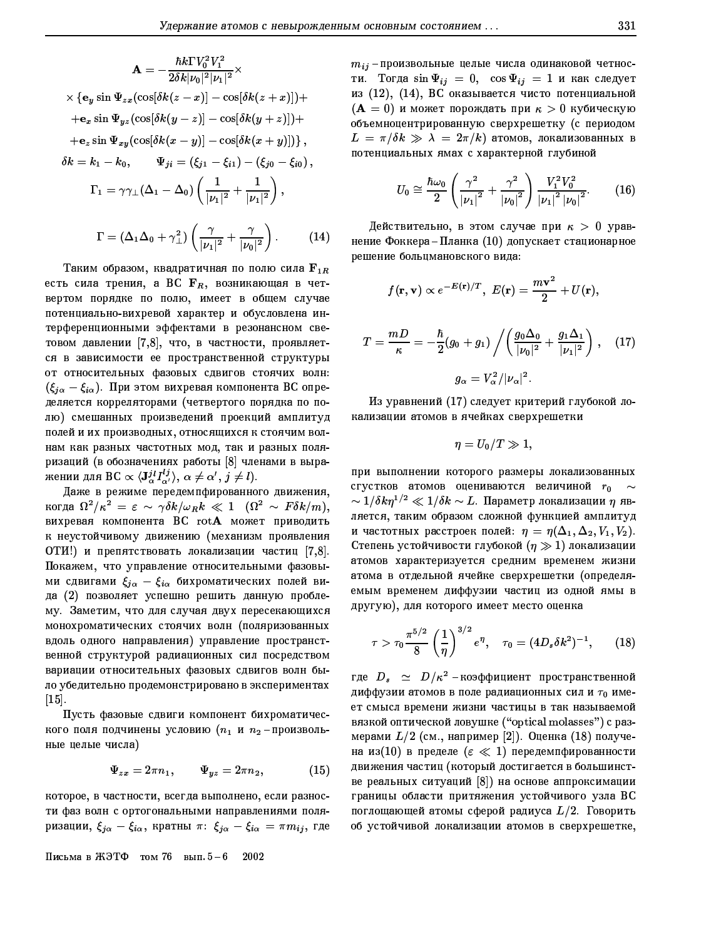$$
\mathbf{A} = -\frac{\hbar k \Gamma V_0^2 V_1^2}{2\delta k |\nu_0|^2 |\nu_1|^2} \times
$$
  
\n
$$
\times \{ \mathbf{e}_y \sin \Psi_{zx} (\cos[\delta k(z - x)] - \cos[\delta k(z + x)]) +
$$
  
\n
$$
+ \mathbf{e}_x \sin \Psi_{yz} (\cos[\delta k(y - z)] - \cos[\delta k(y + z)]) +
$$
  
\n
$$
+ \mathbf{e}_z \sin \Psi_{xy} (\cos[\delta k(x - y)] - \cos[\delta k(x + y)]) \},
$$
  
\n
$$
\delta k = k_1 - k_0, \qquad \Psi_{ji} = (\xi_{j1} - \xi_{i1}) - (\xi_{j0} - \xi_{i0}),
$$
  
\n
$$
\Gamma_1 = \gamma \gamma_+ (\Delta_1 - \Delta_0) \left( \frac{1}{|\nu_1|^2} + \frac{1}{|\nu_1|^2} \right),
$$
  
\n
$$
\Gamma = (\Delta_1 \Delta_0 + \gamma_+^2) \left( \frac{\gamma}{|\nu_1|^2} + \frac{\gamma}{|\nu_0|^2} \right).
$$
 (14)

Таким образом, квадратичная по полю сила  $\mathbf{F}_{1R}$ есть сила трения, а ВС  $F_R$ , возникающая в четвертом порядке по полю, имеет в общем случае потенциально-вихревой характер и обусловлена интерференционными эффектами в резонансном световом давлении [7,8], что, в частности, проявляется в зависимости ее пространственной структуры от относительных фазовых сдвигов стоячих волн:  $(\xi_{j\alpha}-\xi_{i\alpha})$ . При этом вихревая компонента ВС определяется корреляторами (четвертого порядка по полю) смешанных произведений проекций амплитуд полей и их производных, относящихся к стоячим волнам как разных частотных мод, так и разных поляризаций (в обозначениях работы [8] членами в выражении для ВС  $\propto \langle \mathbf{J}_{\alpha}^{jl} I_{\alpha'}^{lj} \rangle$ ,  $\alpha \neq \alpha', j \neq l$ ).

Даже в режиме передемпфированного движения, когда  $\Omega^2/\kappa^2 = \varepsilon \sim \gamma \delta k/\omega_R k \ll 1$  ( $\Omega^2 \sim F \delta k/m$ ), вихревая компонента BC  $\mathop{\rm rot}\nolimits {\bf A}$  может приводить к неустойчивому движению (механизм проявления ОТИ!) и препятствовать локализации частиц [7,8]. Покажем, что управление относительными фазовыми сдвигами  $\xi_{i\alpha} - \xi_{i\alpha}$  бихроматических полей вида (2) позволяет успешно решить данную проблему. Заметим, что для случая двух пересекающихся монохроматических стоячих волн (поляризованных вдоль одного направления) управление пространственной структурой радиационных сил посредством вариации относительных фазовых сдвигов волн было убедительно продемонстрировано в экспериментах  $\begin{bmatrix} 15 \end{bmatrix}$ 

Пусть фазовые сдвиги компонент бихроматического поля подчинены условию ( $n_1$  и  $n_2$ -произвольные целые числа)

$$
\Psi_{zx} = 2\pi n_1, \qquad \Psi_{yz} = 2\pi n_2, \tag{15}
$$

которое, в частности, всегда выполнено, если разности фаз волн с ортогональными направлениями поляризации,  $\xi_{j\alpha} - \xi_{i\alpha}$ , кратны  $\pi: \xi_{j\alpha} - \xi_{i\alpha} = \pi m_{ij}$ , где

Письма в ЖЭТФ том 76 вып.  $5-6$  2002

 $m_{ij}$ -произвольные целые числа одинаковой четности. Тогда  $\sin \Psi_{ij} = 0$ ,  $\cos \Psi_{ij} = 1$  и как следует из (12), (14), ВС оказывается чисто потенциальной  $(A = 0)$  и может порождать при  $\kappa > 0$  кубическую объемноцентрированную сверхрешетку (с периодом  $L = \pi/\delta k \gg \lambda = 2\pi/k$ ) атомов, локализованных в потенциальных ямах с характерной глубиной

$$
U_0 \cong \frac{\hbar \omega_0}{2} \left( \frac{\gamma^2}{|\nu_1|^2} + \frac{\gamma^2}{|\nu_0|^2} \right) \frac{V_1^2 V_0^2}{|\nu_1|^2 |\nu_0|^2}.
$$
 (16)

Действительно, в этом случае при  $\kappa > 0$  уравнение Фоккера-Планка (10) допускает стационарное решение больцмановского вида:

$$
f(\mathbf{r}, \mathbf{v}) \propto e^{-E(\mathbf{r})/T}
$$
,  $E(\mathbf{r}) = \frac{m\mathbf{v}^2}{2} + U(\mathbf{r})$ ,

$$
T = \frac{mD}{\kappa} = -\frac{\hbar}{2}(g_0 + g_1) / \left(\frac{g_0 \Delta_0}{|\nu_0|^2} + \frac{g_1 \Delta_1}{|\nu_1|^2}\right), \quad (17)
$$

$$
g_\alpha = V_\alpha^2 / |\nu_\alpha|^2.
$$

Из уравнений (17) следует критерий глубокой локализации атомов в ячейках сверхрешетки

$$
\eta=U_0/T\gg 1,
$$

при выполнении которого размеры локализованных сгустков атомов оцениваются величиной ro  $\sim 1/\delta k \eta^{1/2} \ll 1/\delta k \sim L.$  Параметр локализации  $\eta$  является, таким образом сложной функцией амплитуд и частотных расстроек полей:  $\eta = \eta(\Delta_1, \Delta_2, V_1, V_2)$ . Степень устойчивости глубокой  $(\eta \gg 1)$  локализации атомов характеризуется средним временем жизни атома в отдельной ячейке сверхрешетки (определяемым временем диффузии частиц из одной ямы в другую), для которого имеет место оценка

$$
\tau > \tau_0 \frac{\pi^{5/2}}{8} \left(\frac{1}{\eta}\right)^{3/2} e^{\eta}, \quad \tau_0 = (4D_s \delta k^2)^{-1}, \qquad (18)
$$

где  $D_s \simeq D/\kappa^2$  -коэффициент пространственной диффузии атомов в поле радиационных сил и  $\tau_0$  имеет смысл времени жизни частицы в так называемой вязкой оптической ловушке ("optical molasses") с размерами  $L/2$  (см., например [2]). Оценка (18) получена из $(10)$  в пределе  $(\varepsilon \ll 1)$  передемпфированности движения частиц (который достигается в большинстве реальных ситуаций [8]) на основе аппроксимации границы области притяжения устойчивого узла ВС поглощающей атомы сферой радиуса  $L/2$ . Говорить об устойчивой локализации атомов в сверхрешетке,